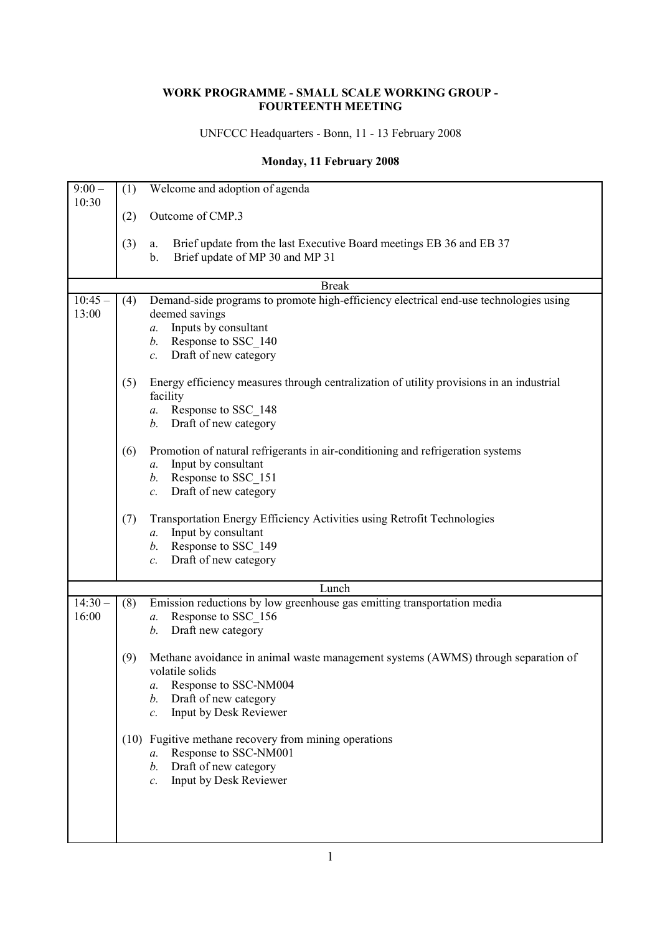## **WORK PROGRAMME - SMALL SCALE WORKING GROUP - FOURTEENTH MEETING**

UNFCCC Headquarters - Bonn, 11 - 13 February 2008

## **Monday, 11 February 2008**

| $9:00-$<br>10:30 | (1) | Welcome and adoption of agenda                                                                                     |
|------------------|-----|--------------------------------------------------------------------------------------------------------------------|
|                  | (2) | Outcome of CMP.3                                                                                                   |
|                  | (3) | Brief update from the last Executive Board meetings EB 36 and EB 37<br>a.<br>Brief update of MP 30 and MP 31<br>b. |
|                  |     | <b>Break</b>                                                                                                       |
| $10:45 -$        | (4) | Demand-side programs to promote high-efficiency electrical end-use technologies using                              |
| 13:00            |     | deemed savings                                                                                                     |
|                  |     | Inputs by consultant<br>a.                                                                                         |
|                  |     | Response to SSC_140<br>b.                                                                                          |
|                  |     | Draft of new category<br>$\mathcal{C}$ .                                                                           |
|                  | (5) | Energy efficiency measures through centralization of utility provisions in an industrial                           |
|                  |     | facility                                                                                                           |
|                  |     | Response to SSC_148<br>a.                                                                                          |
|                  |     | Draft of new category<br>b.                                                                                        |
|                  |     |                                                                                                                    |
|                  | (6) | Promotion of natural refrigerants in air-conditioning and refrigeration systems                                    |
|                  |     | Input by consultant<br>а.                                                                                          |
|                  |     | Response to SSC 151<br>b.                                                                                          |
|                  |     | Draft of new category<br>$\mathcal{C}$ .                                                                           |
|                  |     |                                                                                                                    |
|                  | (7) | Transportation Energy Efficiency Activities using Retrofit Technologies                                            |
|                  |     | Input by consultant<br>a.                                                                                          |
|                  |     | Response to SSC 149<br>b.                                                                                          |
|                  |     | Draft of new category<br>$\mathcal{C}.$                                                                            |
|                  |     |                                                                                                                    |
|                  |     | Lunch                                                                                                              |
| $14:30 -$        | (8) | Emission reductions by low greenhouse gas emitting transportation media                                            |
| 16:00            |     | Response to SSC 156<br>a.                                                                                          |
|                  |     | Draft new category<br>b.                                                                                           |
|                  | (9) | Methane avoidance in animal waste management systems (AWMS) through separation of                                  |
|                  |     | volatile solids                                                                                                    |
|                  |     | Response to SSC-NM004<br>а.                                                                                        |
|                  |     | Draft of new category<br>b.                                                                                        |
|                  |     | Input by Desk Reviewer<br>$\mathcal{C}.$                                                                           |
|                  |     |                                                                                                                    |
|                  |     | (10) Fugitive methane recovery from mining operations                                                              |
|                  |     | Response to SSC-NM001<br>$a_{\cdot}$                                                                               |
|                  |     | Draft of new category<br>b.                                                                                        |
|                  |     | Input by Desk Reviewer<br>$\mathcal{C}.$                                                                           |
|                  |     |                                                                                                                    |
|                  |     |                                                                                                                    |
|                  |     |                                                                                                                    |
|                  |     |                                                                                                                    |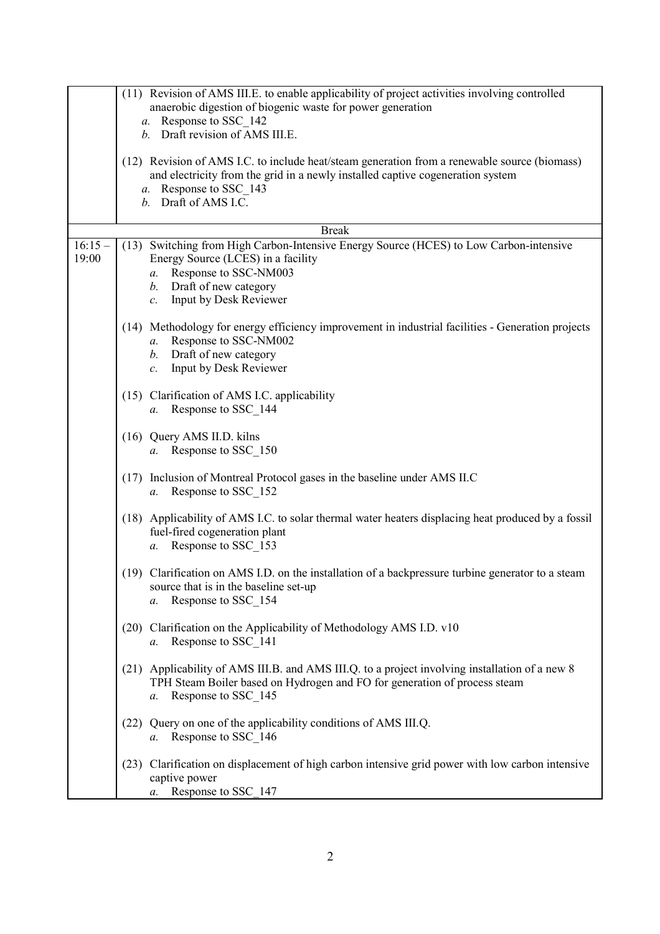|                   | (11) Revision of AMS III.E. to enable applicability of project activities involving controlled<br>anaerobic digestion of biogenic waste for power generation                                                                            |
|-------------------|-----------------------------------------------------------------------------------------------------------------------------------------------------------------------------------------------------------------------------------------|
|                   | a. Response to SSC 142                                                                                                                                                                                                                  |
|                   | b. Draft revision of AMS III.E.                                                                                                                                                                                                         |
|                   | (12) Revision of AMS I.C. to include heat/steam generation from a renewable source (biomass)<br>and electricity from the grid in a newly installed captive cogeneration system<br>a. Response to SSC 143                                |
|                   | b. Draft of AMS I.C.                                                                                                                                                                                                                    |
|                   | <b>Break</b>                                                                                                                                                                                                                            |
| $16:15-$<br>19:00 | (13) Switching from High Carbon-Intensive Energy Source (HCES) to Low Carbon-intensive<br>Energy Source (LCES) in a facility<br>Response to SSC-NM003<br>а.<br>Draft of new category<br>b.<br>Input by Desk Reviewer<br>$\mathcal{C}$ . |
|                   | (14) Methodology for energy efficiency improvement in industrial facilities - Generation projects<br>Response to SSC-NM002<br>a.<br>Draft of new category<br>b.<br>Input by Desk Reviewer<br>$\mathcal{C}$ .                            |
|                   | (15) Clarification of AMS I.C. applicability<br>a. Response to SSC 144                                                                                                                                                                  |
|                   | (16) Query AMS II.D. kilns<br>a. Response to SSC 150                                                                                                                                                                                    |
|                   | Inclusion of Montreal Protocol gases in the baseline under AMS II.C<br>(17)<br>Response to SSC_152<br>a.                                                                                                                                |
|                   | (18) Applicability of AMS I.C. to solar thermal water heaters displacing heat produced by a fossil<br>fuel-fired cogeneration plant<br>Response to SSC_153<br>a.                                                                        |
|                   | (19) Clarification on AMS I.D. on the installation of a backpressure turbine generator to a steam<br>source that is in the baseline set-up<br>Response to SSC_154<br>а.                                                                 |
|                   | (20) Clarification on the Applicability of Methodology AMS I.D. v10<br>a. Response to SSC 141                                                                                                                                           |
|                   | (21) Applicability of AMS III.B. and AMS III.Q. to a project involving installation of a new 8<br>TPH Steam Boiler based on Hydrogen and FO for generation of process steam<br>Response to SSC 145<br>а.                                |
|                   | Query on one of the applicability conditions of AMS III.Q.<br>(22)<br>Response to SSC_146<br>a.                                                                                                                                         |
|                   | Clarification on displacement of high carbon intensive grid power with low carbon intensive<br>(23)<br>captive power<br>Response to SSC 147<br>a.                                                                                       |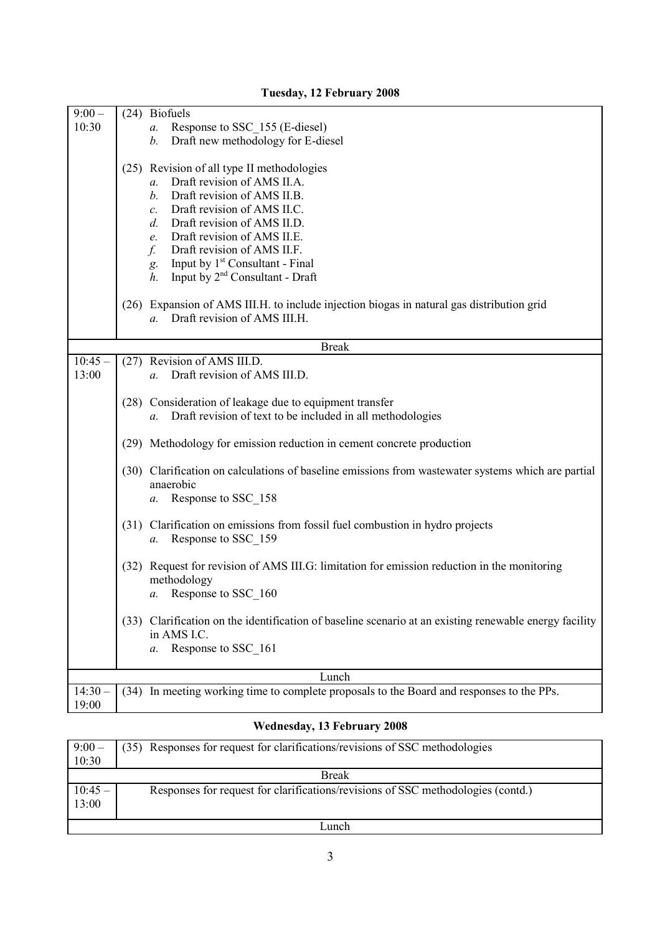| $9:00 -$           |              | (24) Biofuels                                                                                                                                                                                                                                                                                                                                                                                                                                                                                                       |  |  |  |  |
|--------------------|--------------|---------------------------------------------------------------------------------------------------------------------------------------------------------------------------------------------------------------------------------------------------------------------------------------------------------------------------------------------------------------------------------------------------------------------------------------------------------------------------------------------------------------------|--|--|--|--|
| 10:30              |              | Response to SSC_155 (E-diesel)<br>a.                                                                                                                                                                                                                                                                                                                                                                                                                                                                                |  |  |  |  |
|                    |              | Draft new methodology for E-diesel<br>b.                                                                                                                                                                                                                                                                                                                                                                                                                                                                            |  |  |  |  |
|                    |              | (25) Revision of all type II methodologies<br>Draft revision of AMS II.A.<br>$a_{\cdot}$<br>Draft revision of AMS II.B.<br>$b$ .<br>Draft revision of AMS II.C.<br>$\mathcal{C}$ .<br>Draft revision of AMS II.D.<br>$d$ .<br>Draft revision of AMS II.E.<br>e.<br>Draft revision of AMS II.F.<br>$f_{\cdot}$<br>Input by 1 <sup>st</sup> Consultant - Final<br>g.<br>Input by $2nd$ Consultant - Draft<br>$h_{\cdot}$<br>(26) Expansion of AMS III.H. to include injection biogas in natural gas distribution grid |  |  |  |  |
|                    |              | Draft revision of AMS III.H.<br>$a_{\cdot}$                                                                                                                                                                                                                                                                                                                                                                                                                                                                         |  |  |  |  |
|                    |              |                                                                                                                                                                                                                                                                                                                                                                                                                                                                                                                     |  |  |  |  |
|                    | <b>Break</b> |                                                                                                                                                                                                                                                                                                                                                                                                                                                                                                                     |  |  |  |  |
| $10:45 -$<br>13:00 |              | (27) Revision of AMS III.D.<br>Draft revision of AMS III.D.<br>$a_{\cdot}$                                                                                                                                                                                                                                                                                                                                                                                                                                          |  |  |  |  |
|                    |              |                                                                                                                                                                                                                                                                                                                                                                                                                                                                                                                     |  |  |  |  |
|                    |              | (28) Consideration of leakage due to equipment transfer<br>Draft revision of text to be included in all methodologies<br>$a_{\cdot}$                                                                                                                                                                                                                                                                                                                                                                                |  |  |  |  |
|                    |              | (29) Methodology for emission reduction in cement concrete production                                                                                                                                                                                                                                                                                                                                                                                                                                               |  |  |  |  |
|                    |              | (30) Clarification on calculations of baseline emissions from wastewater systems which are partial<br>anaerobic<br>Response to SSC 158<br>a.                                                                                                                                                                                                                                                                                                                                                                        |  |  |  |  |
|                    | (31)         | Clarification on emissions from fossil fuel combustion in hydro projects<br>Response to SSC 159<br>$a$ .                                                                                                                                                                                                                                                                                                                                                                                                            |  |  |  |  |
|                    | (32)         | Request for revision of AMS III.G: limitation for emission reduction in the monitoring<br>methodology<br>Response to SSC_160<br>a.                                                                                                                                                                                                                                                                                                                                                                                  |  |  |  |  |
|                    | (33)         | Clarification on the identification of baseline scenario at an existing renewable energy facility<br>in AMS I.C.<br>Response to SSC_161<br>a.                                                                                                                                                                                                                                                                                                                                                                       |  |  |  |  |
|                    |              | Lunch                                                                                                                                                                                                                                                                                                                                                                                                                                                                                                               |  |  |  |  |
| $14:30-$<br>19:00  |              | (34) In meeting working time to complete proposals to the Board and responses to the PPs.                                                                                                                                                                                                                                                                                                                                                                                                                           |  |  |  |  |

## **Tuesday, 12 February 2008**

## **Wednesday, 13 February 2008**

| $9:00-$          | (35) Responses for request for clarifications/revisions of SSC methodologies     |  |
|------------------|----------------------------------------------------------------------------------|--|
| 10:30            |                                                                                  |  |
| <b>Break</b>     |                                                                                  |  |
| $\sqrt{10:45}$ – | Responses for request for clarifications/revisions of SSC methodologies (contd.) |  |
| 13:00            |                                                                                  |  |
|                  |                                                                                  |  |
| Lunch            |                                                                                  |  |